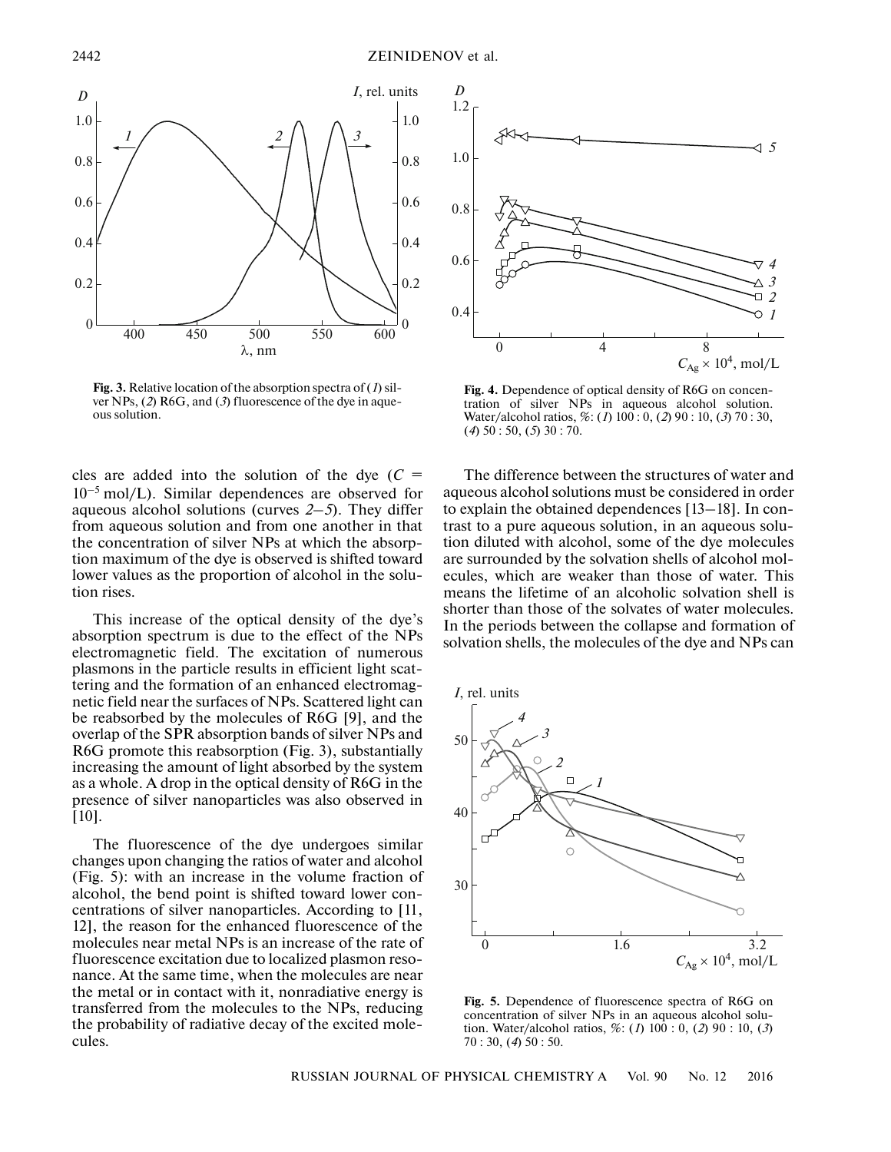

**Fig. 3.** Relative location of the absorption spectra of (*1*) silver NPs, (*2*) R6G, and (*3*) fluorescence of the dye in aqueous solution.

cles are added into the solution of the dye  $(C =$  $10^{-5}$  mol/L). Similar dependences are observed for aqueous alcohol solutions (curves *2–5*). They differ from aqueous solution and from one another in that the concentration of silver NPs at which the absorption maximum of the dye is observed is shifted toward lower values as the proportion of alcohol in the solution rises.

This increase of the optical density of the dye's absorption spectrum is due to the effect of the NPs electromagnetic field. The excitation of numerous plasmons in the particle results in efficient light scattering and the formation of an enhanced electromagnetic field near the surfaces of NPs. Scattered light can be reabsorbed by the molecules of R6G [9], and the overlap of the SPR absorption bands of silver NPs and R6G promote this reabsorption (Fig. 3), substantially increasing the amount of light absorbed by the system as a whole. A drop in the optical density of R6G in the presence of silver nanoparticles was also observed in [10].

The fluorescence of the dye undergoes similar changes upon changing the ratios of water and alcohol (Fig. 5): with an increase in the volume fraction of alcohol, the bend point is shifted toward lower concentrations of silver nanoparticles. According to [11, 12], the reason for the enhanced fluorescence of the molecules near metal NPs is an increase of the rate of fluorescence excitation due to localized plasmon resonance. At the same time, when the molecules are near the metal or in contact with it, nonradiative energy is transferred from the molecules to the NPs, reducing the probability of radiative decay of the excited molecules.



**Fig. 4.** Dependence of optical density of R6G on concentration of silver NPs in aqueous alcohol solution. Water/alcohol ratios, %: (*1*) 100 : 0, (*2*) 90 : 10, (*3*) 70 : 30, (*4*) 50 : 50, (*5*) 30 : 70.

The difference between the structures of water and aqueous alcohol solutions must be considered in order to explain the obtained dependences [13–18]. In contrast to a pure aqueous solution, in an aqueous solution diluted with alcohol, some of the dye molecules are surrounded by the solvation shells of alcohol molecules, which are weaker than those of water. This means the lifetime of an alcoholic solvation shell is shorter than those of the solvates of water molecules. In the periods between the collapse and formation of solvation shells, the molecules of the dye and NPs can



**Fig. 5.** Dependence of fluorescence spectra of R6G on concentration of silver NPs in an aqueous alcohol solution. Water/alcohol ratios, %: (*1*) 100 : 0, (*2*) 90 : 10, (*3*) 70 : 30, (*4*) 50 : 50.